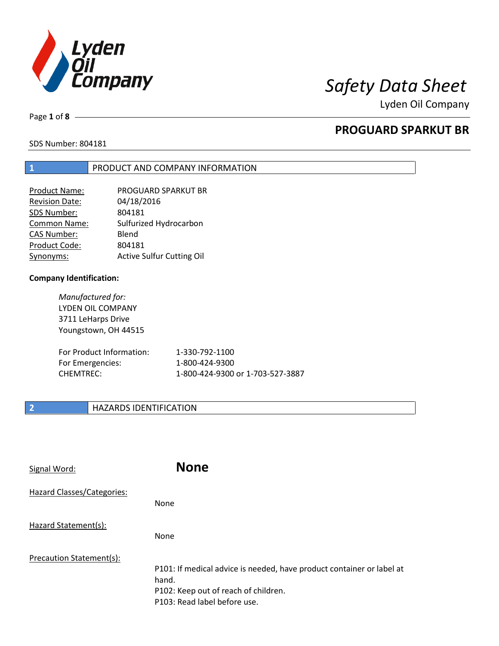

Lyden Oil Company

Page **1** of **8**

## **PROGUARD SPARKUT BR**

SDS Number: 804181

### **1** PRODUCT AND COMPANY INFORMATION

| Product Name:         | <b>PROGUARD SPARKUT BR</b> |
|-----------------------|----------------------------|
| <b>Revision Date:</b> | 04/18/2016                 |
| SDS Number:           | 804181                     |
| Common Name:          | Sulfurized Hydrocarbon     |
| <b>CAS Number:</b>    | Blend                      |
| Product Code:         | 804181                     |
| Synonyms:             | Active Sulfur Cutting Oil  |

### **Company Identification:**

*Manufactured for:* LYDEN OIL COMPANY 3711 LeHarps Drive Youngstown, OH 44515

| For Product Information: | 1-330-792-1100                   |
|--------------------------|----------------------------------|
| For Emergencies:         | 1-800-424-9300                   |
| CHEMTREC:                | 1-800-424-9300 or 1-703-527-3887 |

### **2 HAZARDS IDENTIFICATION**

| Signal Word:               | <b>None</b>                                                                                                                                            |
|----------------------------|--------------------------------------------------------------------------------------------------------------------------------------------------------|
| Hazard Classes/Categories: | <b>None</b>                                                                                                                                            |
| Hazard Statement(s):       | <b>None</b>                                                                                                                                            |
| Precaution Statement(s):   | P101: If medical advice is needed, have product container or label at<br>hand.<br>P102: Keep out of reach of children.<br>P103: Read label before use. |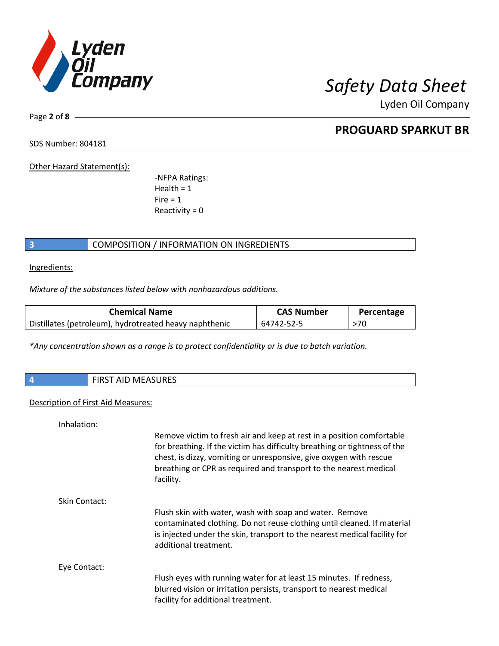

Lyden Oil Company

Page **2** of **8**

## **PROGUARD SPARKUT BR**

SDS Number: 804181

Other Hazard Statement(s):

-NFPA Ratings:  $Health = 1$  $Fire = 1$ Reactivity  $= 0$ 

I

### **3** COMPOSITION / INFORMATION ON INGREDIENTS

Ingredients:

*Mixture of the substances listed below with nonhazardous additions.*

| <b>Chemical Name</b>                                   | <b>CAS Number</b> | Percentage |
|--------------------------------------------------------|-------------------|------------|
| Distillates (petroleum), hydrotreated heavy naphthenic | 64742-52-5        | >70        |

*\*Any concentration shown as a range is to protect confidentiality or is due to batch variation.*

| 74 | $\mathbf{r}$<br><b>HID IVIEASURES</b> |
|----|---------------------------------------|
|    |                                       |

### Description of First Aid Measures:

| Inhalation:   |                                                                                                                                                                                                                                                                                                            |
|---------------|------------------------------------------------------------------------------------------------------------------------------------------------------------------------------------------------------------------------------------------------------------------------------------------------------------|
|               | Remove victim to fresh air and keep at rest in a position comfortable<br>for breathing. If the victim has difficulty breathing or tightness of the<br>chest, is dizzy, vomiting or unresponsive, give oxygen with rescue<br>breathing or CPR as required and transport to the nearest medical<br>facility. |
| Skin Contact: |                                                                                                                                                                                                                                                                                                            |
|               | Flush skin with water, wash with soap and water. Remove<br>contaminated clothing. Do not reuse clothing until cleaned. If material<br>is injected under the skin, transport to the nearest medical facility for<br>additional treatment.                                                                   |
| Eye Contact:  |                                                                                                                                                                                                                                                                                                            |
|               | Flush eyes with running water for at least 15 minutes. If redness,<br>blurred vision or irritation persists, transport to nearest medical<br>facility for additional treatment.                                                                                                                            |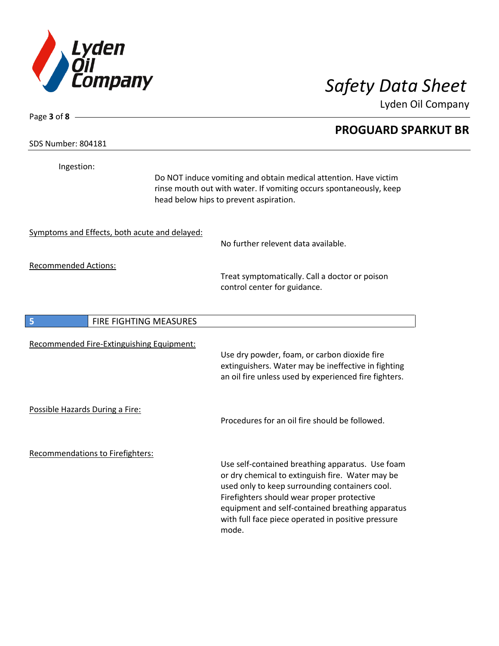

Lyden Oil Company

SDS Number: 804181

Page **3** of **8**

Ingestion:

Do NOT induce vomiting and obtain medical attention. Have victim rinse mouth out with water. If vomiting occurs spontaneously, keep head below hips to prevent aspiration.

Symptoms and Effects, both acute and delayed:

No further relevent data available.

Recommended Actions:

Treat symptomatically. Call a doctor or poison control center for guidance.

| 5                               | <b>FIRE FIGHTING MEASURES</b>             |                                                                                                                                                                                                                                                                                                                         |
|---------------------------------|-------------------------------------------|-------------------------------------------------------------------------------------------------------------------------------------------------------------------------------------------------------------------------------------------------------------------------------------------------------------------------|
|                                 | Recommended Fire-Extinguishing Equipment: | Use dry powder, foam, or carbon dioxide fire<br>extinguishers. Water may be ineffective in fighting<br>an oil fire unless used by experienced fire fighters.                                                                                                                                                            |
| Possible Hazards During a Fire: |                                           | Procedures for an oil fire should be followed.                                                                                                                                                                                                                                                                          |
|                                 | Recommendations to Firefighters:          | Use self-contained breathing apparatus. Use foam<br>or dry chemical to extinguish fire. Water may be<br>used only to keep surrounding containers cool.<br>Firefighters should wear proper protective<br>equipment and self-contained breathing apparatus<br>with full face piece operated in positive pressure<br>mode. |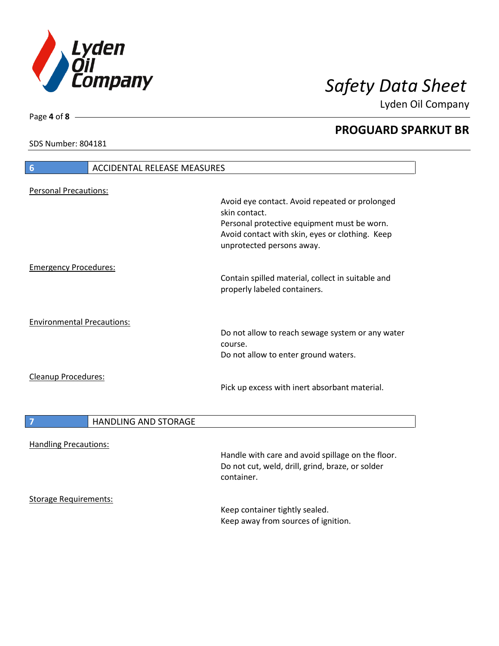

Lyden Oil Company

SDS Number: 804181

# **6** ACCIDENTAL RELEASE MEASURES Personal Precautions: Avoid eye contact. Avoid repeated or prolonged skin contact. Personal protective equipment must be worn. Avoid contact with skin, eyes or clothing. Keep unprotected persons away. Emergency Procedures: Contain spilled material, collect in suitable and properly labeled containers. Environmental Precautions: Do not allow to reach sewage system or any water course. Do not allow to enter ground waters. Cleanup Procedures: Pick up excess with inert absorbant material. **7 HANDLING AND STORAGE** Handling Precautions: Handle with care and avoid spillage on the floor. Do not cut, weld, drill, grind, braze, or solder container. Storage Requirements: Keep container tightly sealed. Keep away from sources of ignition.

Page **4** of **8**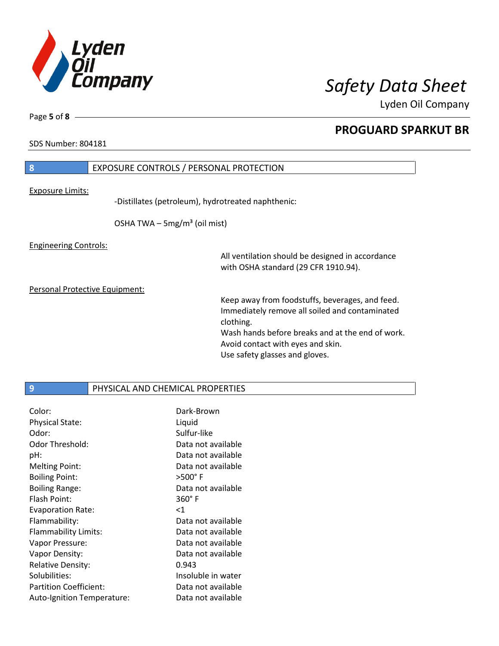

Lyden Oil Company

SDS Number: 804181

Page **5** of **8**

# **8** EXPOSURE CONTROLS / PERSONAL PROTECTION Exposure Limits: -Distillates (petroleum), hydrotreated naphthenic: OSHA TWA  $-$  5mg/m<sup>3</sup> (oil mist) Engineering Controls: All ventilation should be designed in accordance with OSHA standard (29 CFR 1910.94). Personal Protective Equipment: Keep away from foodstuffs, beverages, and feed. Immediately remove all soiled and contaminated clothing.

Wash hands before breaks and at the end of work. Avoid contact with eyes and skin. Use safety glasses and gloves.

### **9** PHYSICAL AND CHEMICAL PROPERTIES

| Color:                      | Dark-Brown         |
|-----------------------------|--------------------|
| <b>Physical State:</b>      | Liquid             |
| Odor:                       | Sulfur-like        |
| Odor Threshold:             | Data not available |
| pH:                         | Data not available |
| Melting Point:              | Data not available |
| <b>Boiling Point:</b>       | $>500^\circ$ F     |
| <b>Boiling Range:</b>       | Data not available |
| Flash Point:                | $360^\circ$ F      |
| <b>Evaporation Rate:</b>    | <1                 |
| Flammability:               | Data not available |
| <b>Flammability Limits:</b> | Data not available |
| Vapor Pressure:             | Data not available |
| Vapor Density:              | Data not available |
| <b>Relative Density:</b>    | 0.943              |
| Solubilities:               | Insoluble in water |
| Partition Coefficient:      | Data not available |
| Auto-Ignition Temperature:  | Data not available |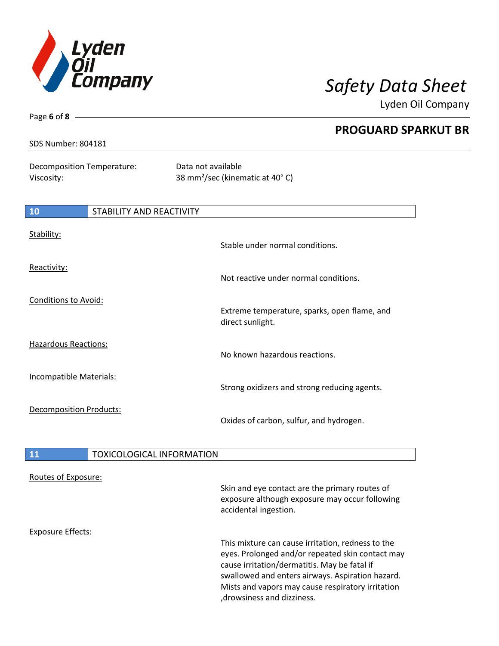

Page **6** of **8**

Lyden Oil Company

| SDS Number: 804181                       |                          | <b>PROGUARD SPARKUT BR</b>                                        |
|------------------------------------------|--------------------------|-------------------------------------------------------------------|
| Decomposition Temperature:<br>Viscosity: |                          | Data not available<br>38 mm <sup>2</sup> /sec (kinematic at 40°C) |
| 10                                       | STABILITY AND REACTIVITY |                                                                   |
| Stability:                               |                          | Stable under normal conditions.                                   |
| Reactivity:                              |                          | Not reactive under normal conditions.                             |
| Conditions to Avoid:                     |                          | Extreme temperature, sparks, open flame, and<br>direct sunlight.  |
| Hazardous Reactions:                     |                          | No known hazardous reactions.                                     |
| <b>Incompatible Materials:</b>           |                          | Strong oxidizers and strong reducing agents.                      |
| <b>Decomposition Products:</b>           |                          | Oxides of carbon, sulfur, and hydrogen.                           |
|                                          |                          |                                                                   |

### **11 TOXICOLOGICAL INFORMATION**

| Routes of Exposure: | Skin and eye contact are the primary routes of<br>exposure although exposure may occur following<br>accidental ingestion.                                                                                                                                                                     |
|---------------------|-----------------------------------------------------------------------------------------------------------------------------------------------------------------------------------------------------------------------------------------------------------------------------------------------|
| Exposure Effects:   | This mixture can cause irritation, redness to the<br>eyes. Prolonged and/or repeated skin contact may<br>cause irritation/dermatitis. May be fatal if<br>swallowed and enters airways. Aspiration hazard.<br>Mists and vapors may cause respiratory irritation<br>, drowsiness and dizziness. |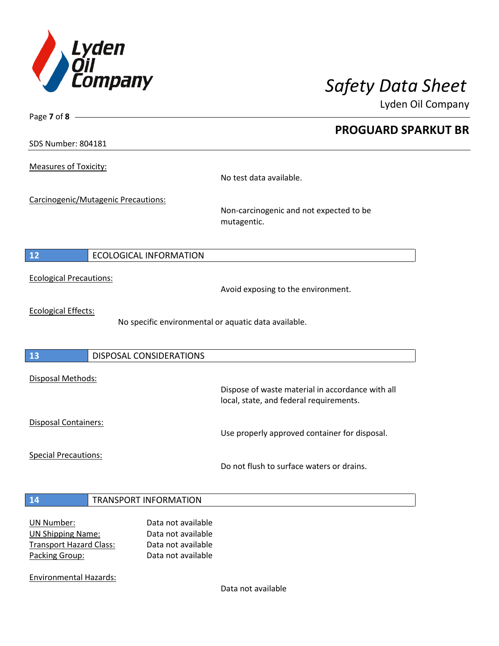

Lyden Oil Company

SDS Number: 804181

Page **7** of **8**

Measures of Toxicity:

No test data available.

Carcinogenic/Mutagenic Precautions:

Non-carcinogenic and not expected to be mutagentic.

### **12** ECOLOGICAL INFORMATION

Ecological Precautions:

Avoid exposing to the environment.

Ecological Effects:

No specific environmental or aquatic data available.

### **13** DISPOSAL CONSIDERATIONS

Disposal Methods:

Disposal Containers:

Use properly approved container for disposal.

Dispose of waste material in accordance with all

Special Precautions:

Do not flush to surface waters or drains.

local, state, and federal requirements.

### **14** TRANSPORT INFORMATION

| UN Number:                     | Data not available |
|--------------------------------|--------------------|
| <b>UN Shipping Name:</b>       | Data not available |
| <b>Transport Hazard Class:</b> | Data not available |
| Packing Group:                 | Data not available |

Environmental Hazards:

Data not available